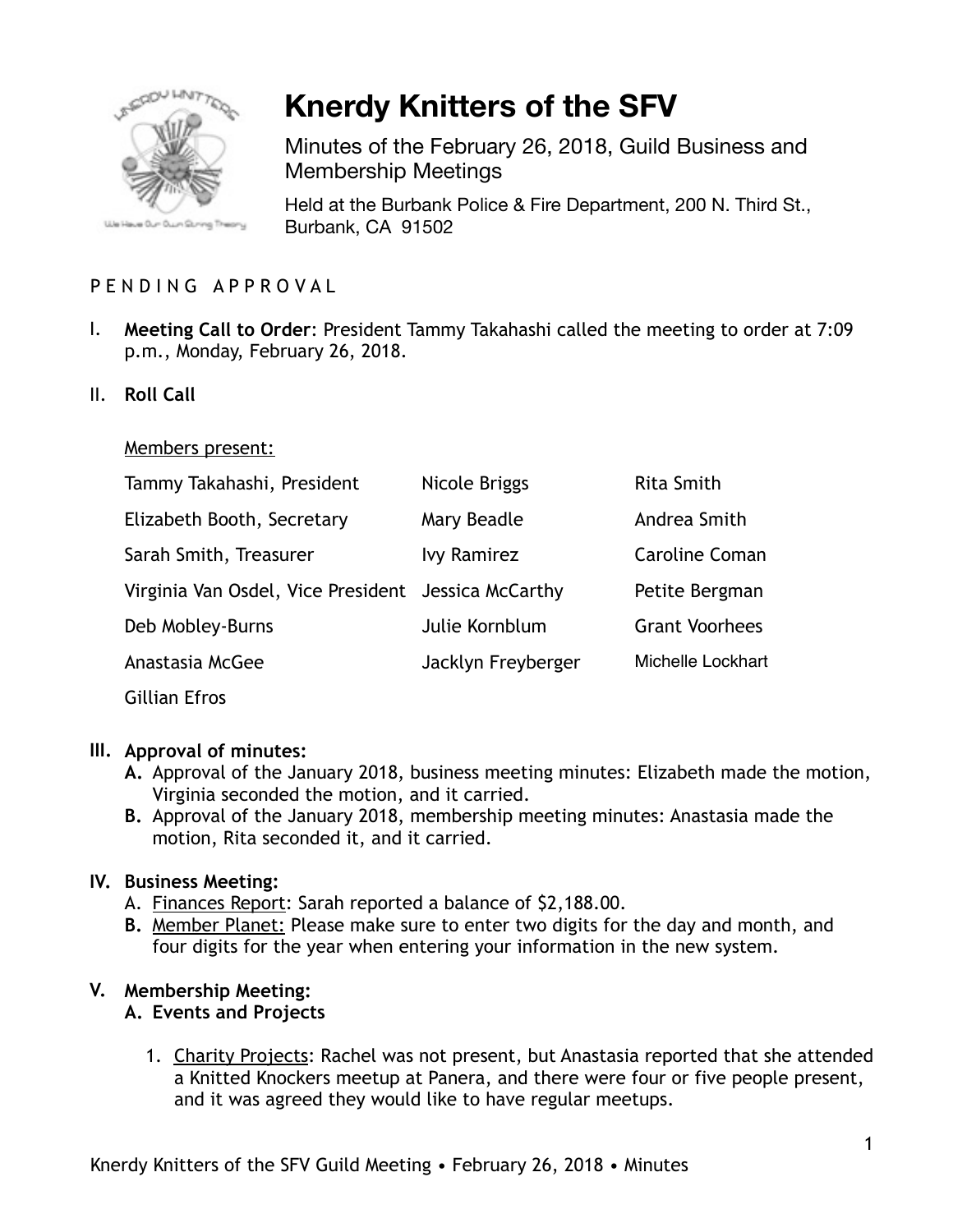

# **Knerdy Knitters of the SFV**

Minutes of the February 26, 2018, Guild Business and Membership Meetings

Held at the Burbank Police & Fire Department, 200 N. Third St., Burbank, CA 91502

# PENDING APPROVAL

- I. **Meeting Call to Order**: President Tammy Takahashi called the meeting to order at 7:09 p.m., Monday, February 26, 2018.
- II. **Roll Call**

#### Members present:

| Tammy Takahashi, President                          | Nicole Briggs      | <b>Rita Smith</b>     |
|-----------------------------------------------------|--------------------|-----------------------|
| Elizabeth Booth, Secretary                          | Mary Beadle        | Andrea Smith          |
| Sarah Smith, Treasurer                              | <b>Ivy Ramirez</b> | <b>Caroline Coman</b> |
| Virginia Van Osdel, Vice President Jessica McCarthy |                    | Petite Bergman        |
| Deb Mobley-Burns                                    | Julie Kornblum     | <b>Grant Voorhees</b> |
| Anastasia McGee                                     | Jacklyn Freyberger | Michelle Lockhart     |
| <b>Gillian Efros</b>                                |                    |                       |

# **III. Approval of minutes:**

- **A.** Approval of the January 2018, business meeting minutes: Elizabeth made the motion, Virginia seconded the motion, and it carried.
- **B.** Approval of the January 2018, membership meeting minutes: Anastasia made the motion, Rita seconded it, and it carried.

# **IV. Business Meeting:**

- A. Finances Report: Sarah reported a balance of \$2,188.00.
- **B.** Member Planet: Please make sure to enter two digits for the day and month, and four digits for the year when entering your information in the new system.

# **V. Membership Meeting:**

#### **A. Events and Projects**

1. Charity Projects: Rachel was not present, but Anastasia reported that she attended a Knitted Knockers meetup at Panera, and there were four or five people present, and it was agreed they would like to have regular meetups.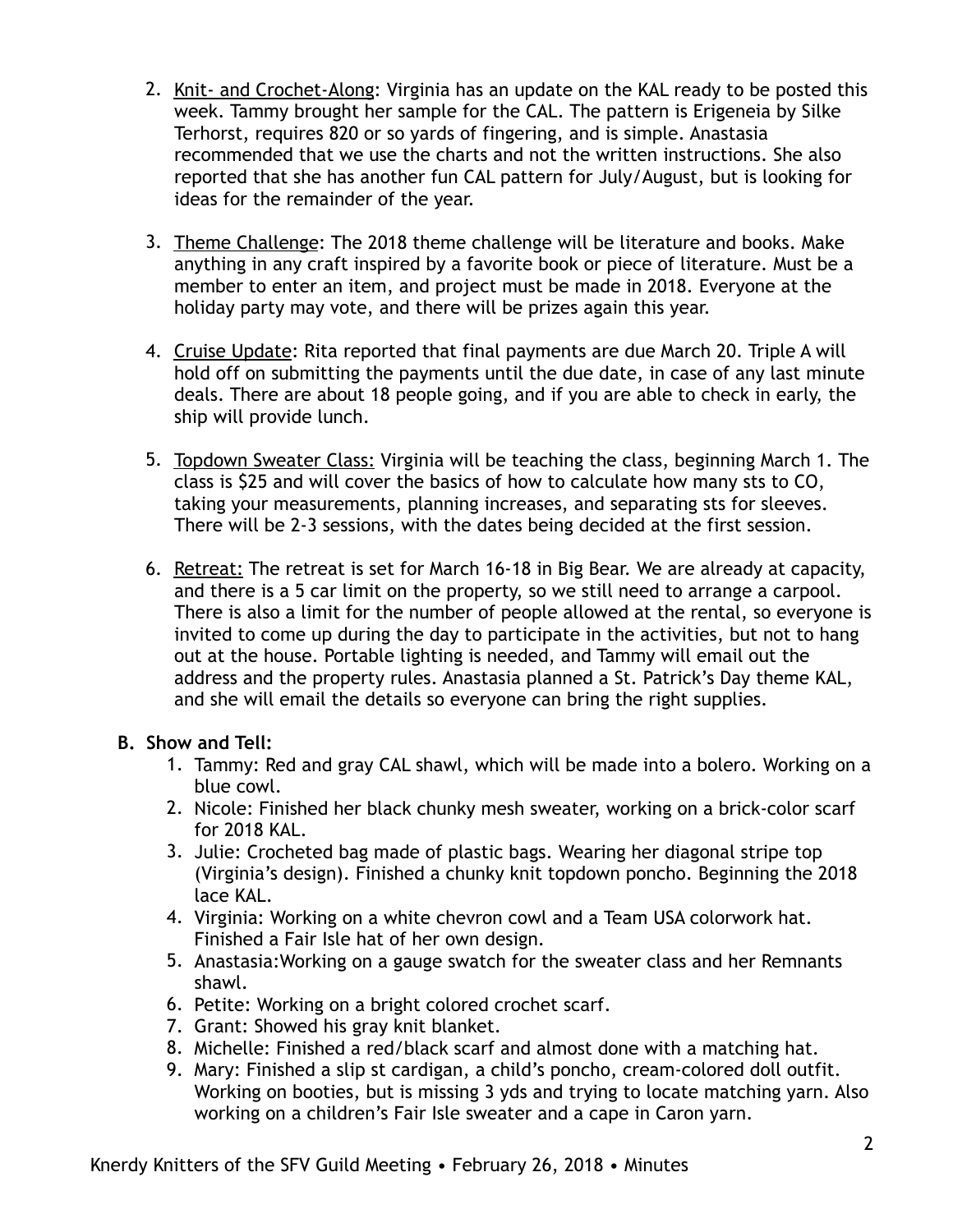- 2. Knit- and Crochet-Along: Virginia has an update on the KAL ready to be posted this week. Tammy brought her sample for the CAL. The pattern is Erigeneia by Silke Terhorst, requires 820 or so yards of fingering, and is simple. Anastasia recommended that we use the charts and not the written instructions. She also reported that she has another fun CAL pattern for July/August, but is looking for ideas for the remainder of the year.
- 3. Theme Challenge: The 2018 theme challenge will be literature and books. Make anything in any craft inspired by a favorite book or piece of literature. Must be a member to enter an item, and project must be made in 2018. Everyone at the holiday party may vote, and there will be prizes again this year.
- 4. Cruise Update: Rita reported that final payments are due March 20. Triple A will hold off on submitting the payments until the due date, in case of any last minute deals. There are about 18 people going, and if you are able to check in early, the ship will provide lunch.
- 5. Topdown Sweater Class: Virginia will be teaching the class, beginning March 1. The class is \$25 and will cover the basics of how to calculate how many sts to CO, taking your measurements, planning increases, and separating sts for sleeves. There will be 2-3 sessions, with the dates being decided at the first session.
- 6. Retreat: The retreat is set for March 16-18 in Big Bear. We are already at capacity, and there is a 5 car limit on the property, so we still need to arrange a carpool. There is also a limit for the number of people allowed at the rental, so everyone is invited to come up during the day to participate in the activities, but not to hang out at the house. Portable lighting is needed, and Tammy will email out the address and the property rules. Anastasia planned a St. Patrick's Day theme KAL, and she will email the details so everyone can bring the right supplies.

# **B. Show and Tell:**

- 1. Tammy: Red and gray CAL shawl, which will be made into a bolero. Working on a blue cowl.
- 2. Nicole: Finished her black chunky mesh sweater, working on a brick-color scarf for 2018 KAL.
- 3. Julie: Crocheted bag made of plastic bags. Wearing her diagonal stripe top (Virginia's design). Finished a chunky knit topdown poncho. Beginning the 2018 lace KAL.
- 4. Virginia: Working on a white chevron cowl and a Team USA colorwork hat. Finished a Fair Isle hat of her own design.
- 5. Anastasia:Working on a gauge swatch for the sweater class and her Remnants shawl.
- 6. Petite: Working on a bright colored crochet scarf.
- 7. Grant: Showed his gray knit blanket.
- 8. Michelle: Finished a red/black scarf and almost done with a matching hat.
- 9. Mary: Finished a slip st cardigan, a child's poncho, cream-colored doll outfit. Working on booties, but is missing 3 yds and trying to locate matching yarn. Also working on a children's Fair Isle sweater and a cape in Caron yarn.